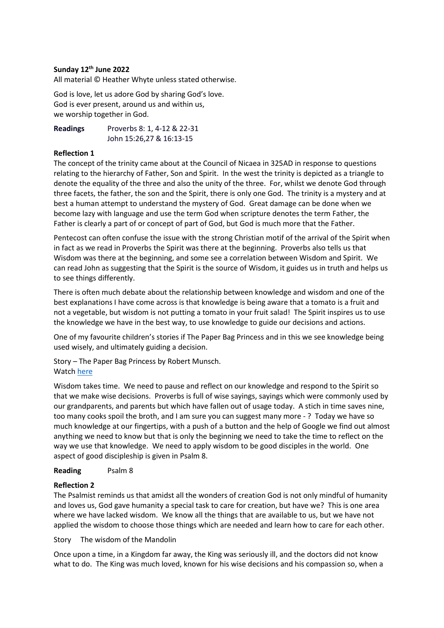## **Sunday 12th June 2022**

All material © Heather Whyte unless stated otherwise.

God is love, let us adore God by sharing God's love. God is ever present, around us and within us, we worship together in God.

**Readings** Proverbs 8: 1, 4-12 & 22-31 John 15:26,27 & 16:13-15

## **Reflection 1**

The concept of the trinity came about at the Council of Nicaea in 325AD in response to questions relating to the hierarchy of Father, Son and Spirit. In the west the trinity is depicted as a triangle to denote the equality of the three and also the unity of the three. For, whilst we denote God through three facets, the father, the son and the Spirit, there is only one God. The trinity is a mystery and at best a human attempt to understand the mystery of God. Great damage can be done when we become lazy with language and use the term God when scripture denotes the term Father, the Father is clearly a part of or concept of part of God, but God is much more that the Father.

Pentecost can often confuse the issue with the strong Christian motif of the arrival of the Spirit when in fact as we read in Proverbs the Spirit was there at the beginning. Proverbs also tells us that Wisdom was there at the beginning, and some see a correlation between Wisdom and Spirit. We can read John as suggesting that the Spirit is the source of Wisdom, it guides us in truth and helps us to see things differently.

There is often much debate about the relationship between knowledge and wisdom and one of the best explanations I have come across is that knowledge is being aware that a tomato is a fruit and not a vegetable, but wisdom is not putting a tomato in your fruit salad! The Spirit inspires us to use the knowledge we have in the best way, to use knowledge to guide our decisions and actions.

One of my favourite children's stories if The Paper Bag Princess and in this we see knowledge being used wisely, and ultimately guiding a decision.

Story – The Paper Bag Princess by Robert Munsch. Watc[h here](https://www.youtube.com/watch?v=F6QhxHJF3zk)

Wisdom takes time. We need to pause and reflect on our knowledge and respond to the Spirit so that we make wise decisions. Proverbs is full of wise sayings, sayings which were commonly used by our grandparents, and parents but which have fallen out of usage today. A stich in time saves nine, too many cooks spoil the broth, and I am sure you can suggest many more - ? Today we have so much knowledge at our fingertips, with a push of a button and the help of Google we find out almost anything we need to know but that is only the beginning we need to take the time to reflect on the way we use that knowledge. We need to apply wisdom to be good disciples in the world. One aspect of good discipleship is given in Psalm 8.

## **Reading** Psalm 8

## **Reflection 2**

The Psalmist reminds us that amidst all the wonders of creation God is not only mindful of humanity and loves us, God gave humanity a special task to care for creation, but have we? This is one area where we have lacked wisdom. We know all the things that are available to us, but we have not applied the wisdom to choose those things which are needed and learn how to care for each other.

Story The wisdom of the Mandolin

Once upon a time, in a Kingdom far away, the King was seriously ill, and the doctors did not know what to do. The King was much loved, known for his wise decisions and his compassion so, when a